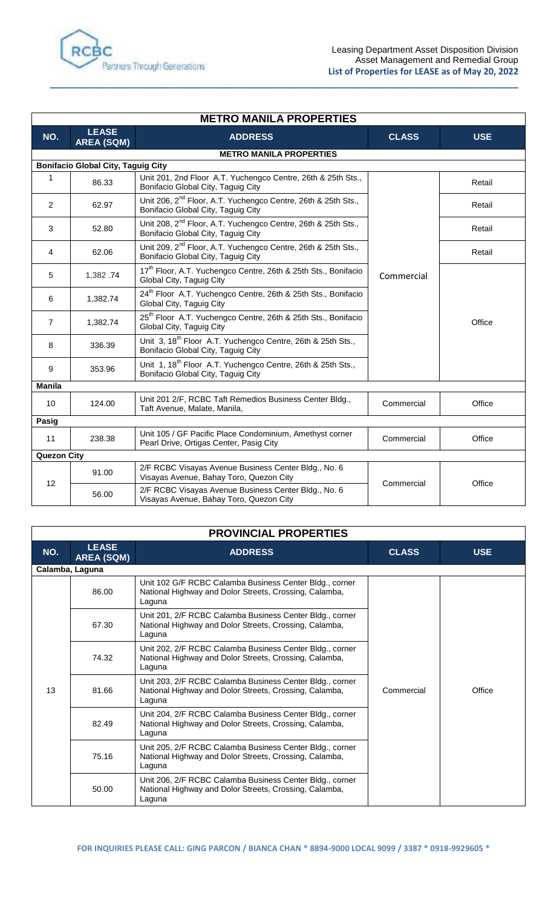

| <b>METRO MANILA PROPERTIES</b> |                                           |                                                                                                                 |              |            |
|--------------------------------|-------------------------------------------|-----------------------------------------------------------------------------------------------------------------|--------------|------------|
| NO.                            | <b>LEASE</b><br><b>AREA (SQM)</b>         | <b>ADDRESS</b>                                                                                                  | <b>CLASS</b> | <b>USE</b> |
|                                |                                           | <b>METRO MANILA PROPERTIES</b>                                                                                  |              |            |
|                                | <b>Bonifacio Global City, Taguig City</b> |                                                                                                                 |              |            |
| $\mathbf{1}$                   | 86.33                                     | Unit 201, 2nd Floor A.T. Yuchengco Centre, 26th & 25th Sts.,<br>Bonifacio Global City, Taguig City              | Commercial   | Retail     |
| 2                              | 62.97                                     | Unit 206, 2 <sup>nd</sup> Floor, A.T. Yuchengco Centre, 26th & 25th Sts.,<br>Bonifacio Global City, Taguig City |              | Retail     |
| 3                              | 52.80                                     | Unit 208, 2 <sup>nd</sup> Floor, A.T. Yuchengco Centre, 26th & 25th Sts.,<br>Bonifacio Global City, Taguig City |              | Retail     |
| $\overline{4}$                 | 62.06                                     | Unit 209, 2 <sup>nd</sup> Floor, A.T. Yuchengco Centre, 26th & 25th Sts.,<br>Bonifacio Global City, Taguig City |              | Retail     |
| 5                              | 1,382.74                                  | 17 <sup>th</sup> Floor, A.T. Yuchengco Centre, 26th & 25th Sts., Bonifacio<br>Global City, Taguig City          |              | Office     |
| 6                              | 1,382.74                                  | 24 <sup>th</sup> Floor A.T. Yuchengco Centre, 26th & 25th Sts., Bonifacio<br>Global City, Taguig City           |              |            |
| $\overline{7}$                 | 1,382.74                                  | 25 <sup>th</sup> Floor A.T. Yuchengco Centre, 26th & 25th Sts., Bonifacio<br>Global City, Taguig City           |              |            |
| 8                              | 336.39                                    | Unit 3, 18 <sup>th</sup> Floor A.T. Yuchengco Centre, 26th & 25th Sts.,<br>Bonifacio Global City, Taguig City   |              |            |
| 9                              | 353.96                                    | Unit 1, 18 <sup>th</sup> Floor A.T. Yuchengco Centre, 26th & 25th Sts.,<br>Bonifacio Global City, Taguig City   |              |            |
| <b>Manila</b>                  |                                           |                                                                                                                 |              |            |
| 10                             | 124.00                                    | Unit 201 2/F, RCBC Taft Remedios Business Center Bldg.,<br>Taft Avenue, Malate, Manila,                         | Commercial   | Office     |
| Pasig                          |                                           |                                                                                                                 |              |            |
| 11                             | 238.38                                    | Unit 105 / GF Pacific Place Condominium, Amethyst corner<br>Pearl Drive, Ortigas Center, Pasig City             | Commercial   | Office     |
| <b>Quezon City</b>             |                                           |                                                                                                                 |              |            |
| 12                             | 91.00<br>56.00                            | 2/F RCBC Visayas Avenue Business Center Bldg., No. 6<br>Visayas Avenue, Bahay Toro, Quezon City                 | Commercial   | Office     |
|                                |                                           | 2/F RCBC Visayas Avenue Business Center Bldg., No. 6<br>Visayas Avenue, Bahay Toro, Quezon City                 |              |            |

**\_\_\_\_\_\_\_\_\_\_\_\_\_\_\_\_\_\_\_\_\_\_\_\_\_\_\_\_\_\_\_\_\_\_\_\_\_\_\_\_\_\_\_\_\_\_\_\_\_\_\_\_\_\_\_\_\_\_\_\_\_\_\_\_\_\_\_\_\_\_\_\_\_\_\_\_\_\_\_\_\_\_\_\_\_\_\_\_\_\_\_\_\_\_\_**

| <b>PROVINCIAL PROPERTIES</b> |                                   |                                                                                                                              |              |            |
|------------------------------|-----------------------------------|------------------------------------------------------------------------------------------------------------------------------|--------------|------------|
| NO.                          | <b>LEASE</b><br><b>AREA (SQM)</b> | <b>ADDRESS</b>                                                                                                               | <b>CLASS</b> | <b>USE</b> |
|                              | Calamba, Laguna                   |                                                                                                                              |              |            |
| 13                           | 86.00                             | Unit 102 G/F RCBC Calamba Business Center Bldg., corner<br>National Highway and Dolor Streets, Crossing, Calamba,<br>Laguna  | Commercial   | Office     |
|                              | 67.30                             | Unit 201, 2/F RCBC Calamba Business Center Bldg., corner<br>National Highway and Dolor Streets, Crossing, Calamba,<br>Laguna |              |            |
|                              | 74.32                             | Unit 202, 2/F RCBC Calamba Business Center Bldg., corner<br>National Highway and Dolor Streets, Crossing, Calamba,<br>Laguna |              |            |
|                              | 81.66                             | Unit 203, 2/F RCBC Calamba Business Center Bldg., corner<br>National Highway and Dolor Streets, Crossing, Calamba,<br>Laguna |              |            |
|                              | 82.49                             | Unit 204, 2/F RCBC Calamba Business Center Bldg., corner<br>National Highway and Dolor Streets, Crossing, Calamba,<br>Laguna |              |            |
|                              | 75.16                             | Unit 205, 2/F RCBC Calamba Business Center Bldg., corner<br>National Highway and Dolor Streets, Crossing, Calamba,<br>Laguna |              |            |
|                              | 50.00                             | Unit 206, 2/F RCBC Calamba Business Center Bldg., corner<br>National Highway and Dolor Streets, Crossing, Calamba,<br>Laguna |              |            |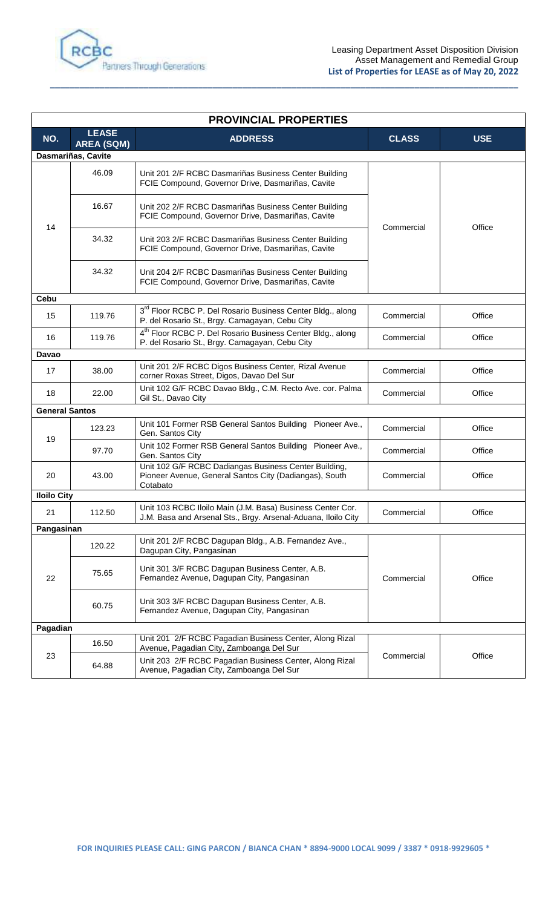

| <b>PROVINCIAL PROPERTIES</b> |                                   |                                                                                                                             |              |            |
|------------------------------|-----------------------------------|-----------------------------------------------------------------------------------------------------------------------------|--------------|------------|
| NO.                          | <b>LEASE</b><br><b>AREA (SQM)</b> | <b>ADDRESS</b>                                                                                                              | <b>CLASS</b> | <b>USE</b> |
|                              | Dasmariñas, Cavite                |                                                                                                                             |              |            |
| 14                           | 46.09                             | Unit 201 2/F RCBC Dasmariñas Business Center Building<br>FCIE Compound, Governor Drive, Dasmariñas, Cavite                  | Commercial   | Office     |
|                              | 16.67                             | Unit 202 2/F RCBC Dasmariñas Business Center Building<br>FCIE Compound, Governor Drive, Dasmariñas, Cavite                  |              |            |
|                              | 34.32                             | Unit 203 2/F RCBC Dasmariñas Business Center Building<br>FCIE Compound, Governor Drive, Dasmariñas, Cavite                  |              |            |
|                              | 34.32                             | Unit 204 2/F RCBC Dasmariñas Business Center Building<br>FCIE Compound, Governor Drive, Dasmariñas, Cavite                  |              |            |
| <b>Cebu</b>                  |                                   |                                                                                                                             |              |            |
| 15                           | 119.76                            | 3 <sup>rd</sup> Floor RCBC P. Del Rosario Business Center Bldg., along<br>P. del Rosario St., Brgy. Camagayan, Cebu City    | Commercial   | Office     |
| 16                           | 119.76                            | 4 <sup>th</sup> Floor RCBC P. Del Rosario Business Center Bldg., along<br>P. del Rosario St., Brgy. Camagayan, Cebu City    | Commercial   | Office     |
| Davao                        |                                   |                                                                                                                             |              |            |
| 17                           | 38.00                             | Unit 201 2/F RCBC Digos Business Center, Rizal Avenue<br>corner Roxas Street, Digos, Davao Del Sur                          | Commercial   | Office     |
| 18                           | 22.00                             | Unit 102 G/F RCBC Davao Bldg., C.M. Recto Ave. cor. Palma<br>Gil St., Davao City                                            | Commercial   | Office     |
| <b>General Santos</b>        |                                   |                                                                                                                             |              |            |
|                              | 123.23                            | Unit 101 Former RSB General Santos Building Pioneer Ave.,<br>Gen. Santos City                                               | Commercial   | Office     |
| 19                           | 97.70                             | Unit 102 Former RSB General Santos Building Pioneer Ave.,<br>Gen. Santos City                                               | Commercial   | Office     |
| 20                           | 43.00                             | Unit 102 G/F RCBC Dadiangas Business Center Building,<br>Pioneer Avenue, General Santos City (Dadiangas), South<br>Cotabato | Commercial   | Office     |
| <b>Iloilo City</b>           |                                   |                                                                                                                             |              |            |
| 21                           | 112.50                            | Unit 103 RCBC Iloilo Main (J.M. Basa) Business Center Cor.<br>J.M. Basa and Arsenal Sts., Brgy. Arsenal-Aduana, Iloilo City | Commercial   | Office     |
| Pangasinan                   |                                   |                                                                                                                             |              |            |
| 22                           | 120.22                            | Unit 201 2/F RCBC Dagupan Bldg., A.B. Fernandez Ave.,<br>Dagupan City, Pangasinan                                           | Commercial   | Office     |
|                              | 75.65                             | Unit 301 3/F RCBC Dagupan Business Center, A.B.<br>Fernandez Avenue, Dagupan City, Pangasinan                               |              |            |
|                              | 60.75                             | Unit 303 3/F RCBC Dagupan Business Center, A.B.<br>Fernandez Avenue, Dagupan City, Pangasinan                               |              |            |
| Pagadian                     |                                   |                                                                                                                             |              |            |
| 23                           | 16.50                             | Unit 201 2/F RCBC Pagadian Business Center, Along Rizal<br>Avenue, Pagadian City, Zamboanga Del Sur                         | Commercial   | Office     |
|                              | 64.88                             | Unit 203 2/F RCBC Pagadian Business Center, Along Rizal<br>Avenue, Pagadian City, Zamboanga Del Sur                         |              |            |

**\_\_\_\_\_\_\_\_\_\_\_\_\_\_\_\_\_\_\_\_\_\_\_\_\_\_\_\_\_\_\_\_\_\_\_\_\_\_\_\_\_\_\_\_\_\_\_\_\_\_\_\_\_\_\_\_\_\_\_\_\_\_\_\_\_\_\_\_\_\_\_\_\_\_\_\_\_\_\_\_\_\_\_\_\_\_\_\_\_\_\_\_\_\_\_**